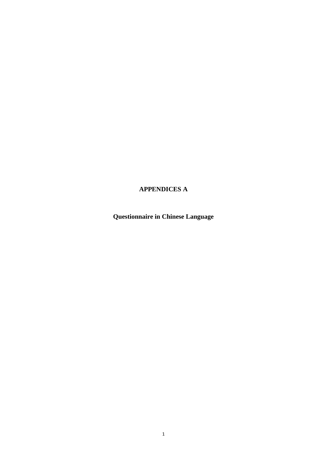# **APPENDICES A**

**Questionnaire in Chinese Language**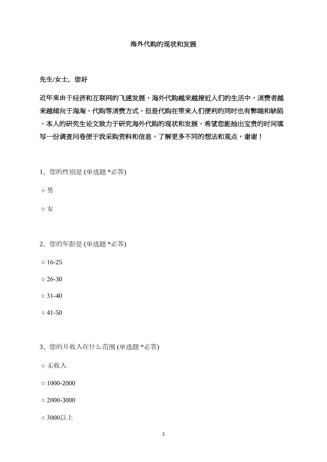#### 海外代购的现状和发展

先生/女士,您好

近年来由于经济和互联网的飞速发展,海外代购越来越接近人们的生活中,消费者越 来越倾向于海淘、代购等消费方式,但是代购在带来人们便利的同时也有弊端和缺陷 ,本人的研究生论文致力于研究海外代购的现状和发展,希望您能抽出宝贵的时间填 写一份调查问卷便于我采购资料和信息,了解更多不同的想法和观点,谢谢!

- 1、您的性别是 (单选题 \*必答)
- 男

○ 女

- 2、您的年龄是 (单选题 \*必答)
- $016-25$
- $\circ$  26-30
- $\circ$  31-40
- $0.41 50$
- 3、您的月收入在什么范围 (单选题 \*必答)
- 无收入
- $\circ$  1000-2000
- $\circ$  2000-3000
- 3000以上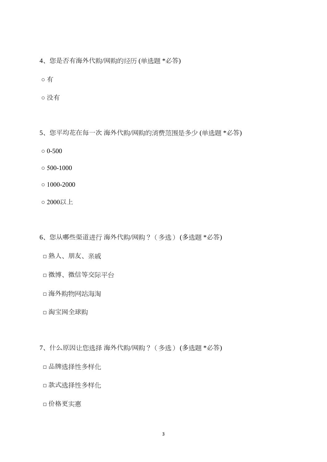- 4、您是否有海外代购/网购的经历 (单选题 \*必答)
- 有
- 没有
- 5、您平均花在每一次 海外代购/网购的消费范围是多少 (单选题 \*必答)
- $\circ$  0-500
- $\circ$  500-1000
- $\circ$  1000-2000
- 2000以上
- 6、您从哪些渠道进行 海外代购/网购?(多选) (多选题 \*必答)
	- □ 熟人、朋友、亲戚
	- □ 微博、微信等交际平台
	- □ 海外购物网站海淘
	- □ 淘宝网全球购
- 7、什么原因让您选择 海外代购/网购?(多选) (多选题 \*必答)
	- □ 品牌选择性多样化
	- □ 款式选择性多样化
	- □ 价格更实惠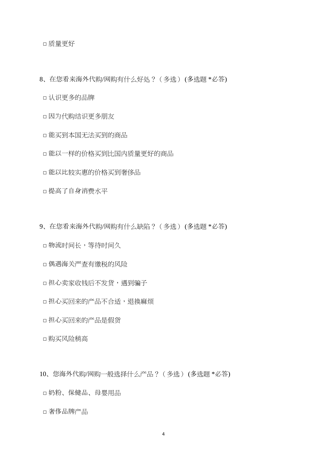□ 质量更好

- 8、在您看来海外代购/网购有什么好处?(多选) (多选题 \*必答)
	- □ 认识更多的品牌
	- □ 因为代购结识更多朋友
	- □ 能买到本国无法买到的商品
	- □ 能以一样的价格买到比国内质量更好的商品
	- □ 能以比较实惠的价格买到奢侈品
	- □ 提高了自身消费水平
- 9、在您看来海外代购/网购有什么缺陷?(多选) (多选题 \*必答)
	- □ 物流时间长,等待时间久
	- □ 偶遇海关严查有缴税的风险
	- □ 担心卖家收钱后不发货,遇到骗子
	- □ 担心买回来的产品不合适,退换麻烦
	- □ 担心买回来的产品是假货
	- □ 购买风险稍高
- 10、您海外代购/网购一般选择什么产品?(多选) (多选题 \*必答)
- □ 奶粉、保健品、母婴用品
- □ 奢侈品牌产品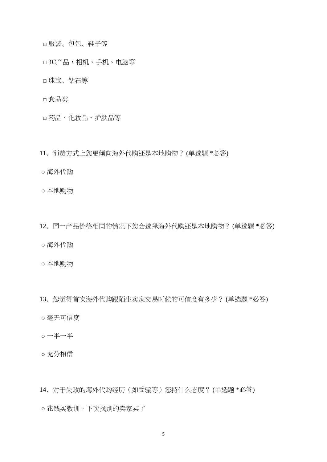□ 服装、包包、鞋子等

□ 3C产品,相机、手机、电脑等

□ 珠宝、钻石等

□ 食品类

□ 药品、化妆品、护肤品等

11、消费方式上您更倾向海外代购还是本地购物? (单选题 \*必答)

○ 海外代购

○ 本地购物

12、同一产品价格相同的情况下您会选择海外代购还是本地购物? (单选题 \*必答)

○ 海外代购

○ 本地购物

13、您觉得首次海外代购跟陌生卖家交易时候的可信度有多少? (单选题 \*必答)

○ 毫无可信度

○ 一半一半

○ 充分相信

14、对于失败的海外代购经历(如受骗等)您持什么态度? (单选题 \*必答) ○ 花钱买教训,下次找别的卖家买了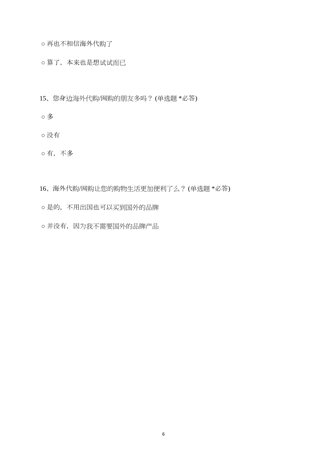○ 再也不相信海外代购了

○ 算了,本来也是想试试而已

- 15、您身边海外代购/网购的朋友多吗? (单选题 \*必答)
- 多
- 没有

○ 有,不多

- 16、海外代购/网购让您的购物生活更加便利了么? (单选题 \*必答)
- 是的,不用出国也可以买到国外的品牌
- 并没有,因为我不需要国外的品牌产品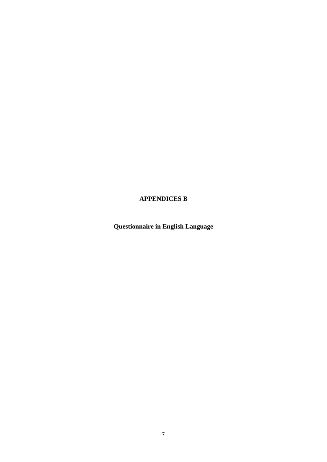# **APPENDICES B**

**Questionnaire in English Language**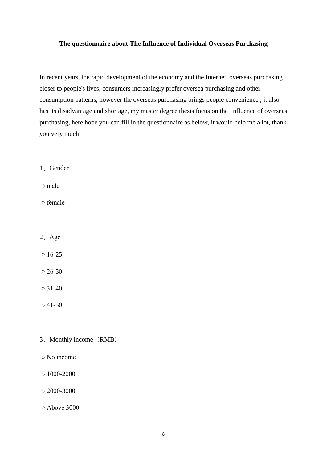### **The questionnaire about The Influence of Individual Overseas Purchasing**

In recent years, the rapid development of the economy and the Internet, overseas purchasing closer to people's lives, consumers increasingly prefer oversea purchasing and other consumption patterns, however the overseas purchasing brings people convenience , it also has its disadvantage and shortage, my master degree thesis focus on the influence of overseas purchasing, here hope you can fill in the questionnaire as below, it would help me a lot, thank you very much!

1、Gender

○ male

○ female

- 2、Age
- $0.16 25$
- $\circ$  26-30

 $\circ$  31-40

- $041 50$
- 3、Monthly income(RMB)
- No income
- $\circ$  1000-2000
- $\circ$  2000-3000
- Above 3000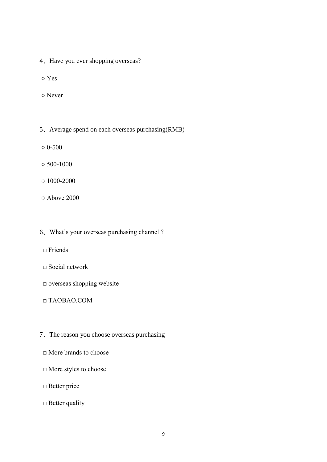- 4、Have you ever shopping overseas?
- Yes
- Never
- 5、Average spend on each overseas purchasing(RMB)
- $\circ$  0-500
- $\circ$  500-1000
- $\circ$  1000-2000
- Above 2000
- 6、What's your overseas purchasing channel ?
	- $\Box$  Friends
	- □ Social network
	- □ overseas shopping website
	- □ TAOBAO.COM
- 7、The reason you choose overseas purchasing
	- $\Box$  More brands to choose
	- □ More styles to choose
	- □ Better price
	- $\Box$  Better quality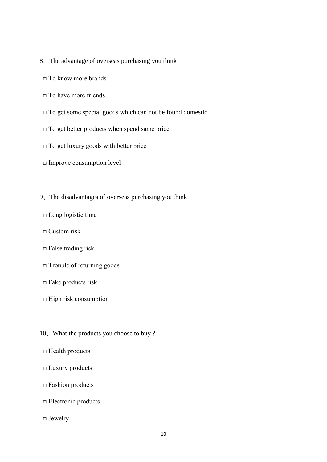- 8、The advantage of overseas purchasing you think
	- □ To know more brands
	- $\Box$  To have more friends
	- □ To get some special goods which can not be found domestic
	- □ To get better products when spend same price
	- $\Box$  To get luxury goods with better price
	- □ Improve consumption level
- 9、The disadvantages of overseas purchasing you think
	- □ Long logistic time
	- $\Box$  Custom risk
	- $\Box$  False trading risk
	- □ Trouble of returning goods
	- □ Fake products risk
	- □ High risk consumption
- 10、What the products you choose to buy ?
- $\Box$  Health products
- □ Luxury products
- $\square$  Fashion products
- □ Electronic products
- □ Jewelry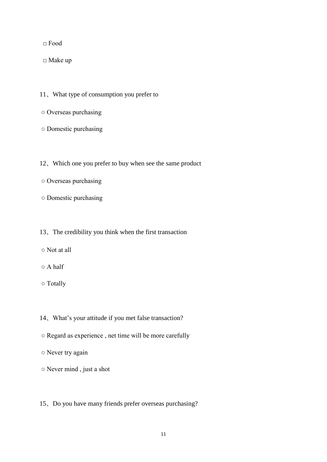□ Food

□ Make up

- 11、What type of consumption you prefer to
- Overseas purchasing
- Domestic purchasing
- 12、Which one you prefer to buy when see the same product
- Overseas purchasing
- Domestic purchasing

### 13、The credibility you think when the first transaction

- Not at all
- A half
- Totally
- 14、What's your attitude if you met false transaction?
- Regard as experience , net time will be more carefully
- Never try again
- Never mind , just a shot
- 15、Do you have many friends prefer overseas purchasing?